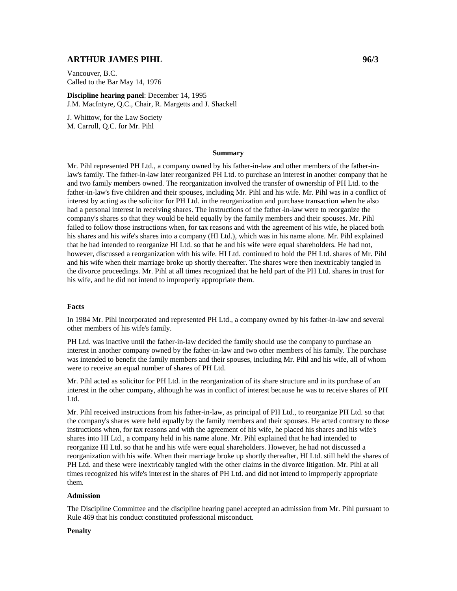# **ARTHUR JAMES PIHL 96/3**

Vancouver, B.C. Called to the Bar May 14, 1976

**Discipline hearing panel**: December 14, 1995 J.M. MacIntyre, Q.C., Chair, R. Margetts and J. Shackell

J. Whittow, for the Law Society M. Carroll, Q.C. for Mr. Pihl

## **Summary**

Mr. Pihl represented PH Ltd., a company owned by his father-in-law and other members of the father-inlaw's family. The father-in-law later reorganized PH Ltd. to purchase an interest in another company that he and two family members owned. The reorganization involved the transfer of ownership of PH Ltd. to the father-in-law's five children and their spouses, including Mr. Pihl and his wife. Mr. Pihl was in a conflict of interest by acting as the solicitor for PH Ltd. in the reorganization and purchase transaction when he also had a personal interest in receiving shares. The instructions of the father-in-law were to reorganize the company's shares so that they would be held equally by the family members and their spouses. Mr. Pihl failed to follow those instructions when, for tax reasons and with the agreement of his wife, he placed both his shares and his wife's shares into a company (HI Ltd.), which was in his name alone. Mr. Pihl explained that he had intended to reorganize HI Ltd. so that he and his wife were equal shareholders. He had not, however, discussed a reorganization with his wife. HI Ltd. continued to hold the PH Ltd. shares of Mr. Pihl and his wife when their marriage broke up shortly thereafter. The shares were then inextricably tangled in the divorce proceedings. Mr. Pihl at all times recognized that he held part of the PH Ltd. shares in trust for his wife, and he did not intend to improperly appropriate them.

#### **Facts**

In 1984 Mr. Pihl incorporated and represented PH Ltd., a company owned by his father-in-law and several other members of his wife's family.

PH Ltd. was inactive until the father-in-law decided the family should use the company to purchase an interest in another company owned by the father-in-law and two other members of his family. The purchase was intended to benefit the family members and their spouses, including Mr. Pihl and his wife, all of whom were to receive an equal number of shares of PH Ltd.

Mr. Pihl acted as solicitor for PH Ltd. in the reorganization of its share structure and in its purchase of an interest in the other company, although he was in conflict of interest because he was to receive shares of PH Ltd.

Mr. Pihl received instructions from his father-in-law, as principal of PH Ltd., to reorganize PH Ltd. so that the company's shares were held equally by the family members and their spouses. He acted contrary to those instructions when, for tax reasons and with the agreement of his wife, he placed his shares and his wife's shares into HI Ltd., a company held in his name alone. Mr. Pihl explained that he had intended to reorganize HI Ltd. so that he and his wife were equal shareholders. However, he had not discussed a reorganization with his wife. When their marriage broke up shortly thereafter, HI Ltd. still held the shares of PH Ltd. and these were inextricably tangled with the other claims in the divorce litigation. Mr. Pihl at all times recognized his wife's interest in the shares of PH Ltd. and did not intend to improperly appropriate them.

#### **Admission**

The Discipline Committee and the discipline hearing panel accepted an admission from Mr. Pihl pursuant to Rule 469 that his conduct constituted professional misconduct.

### **Penalty**